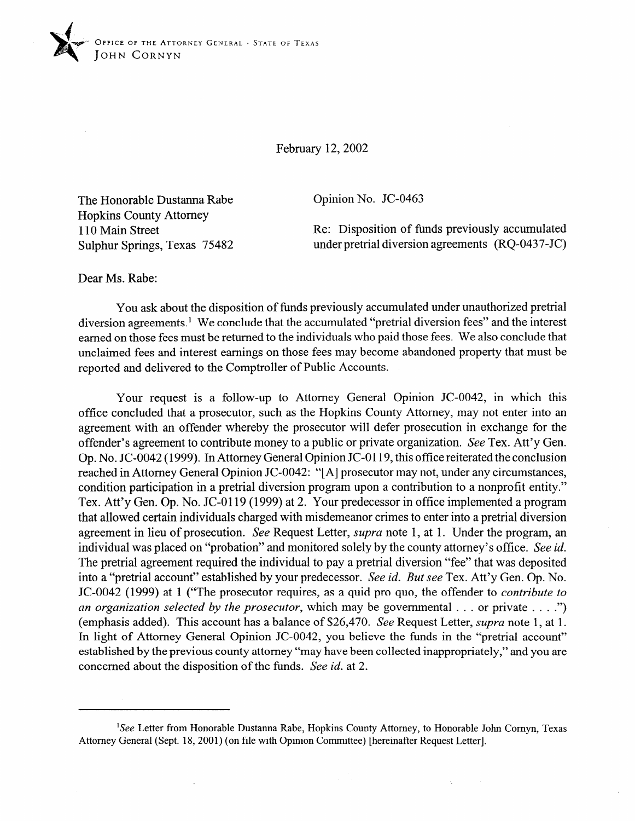

February 12,2002

The Honorable Dustanna Rabe Hopkins County Attorney 110 Main Street Sulphur Springs, Texas 75482 Opinion No. JC-0463

Re: Disposition of funds previously accumulated under pretrial diversion agreements (RQ-0437-JC)

 $\lambda$ 

Dear Ms. Rabe:

You ask about the disposition of funds previously accumulated under unauthorized pretrial diversion agreements.<sup>1</sup> We conclude that the accumulated "pretrial diversion fees" and the interest earned on those fees must be returned to the individuals who paid those fees. We also conclude that unclaimed fees and interest earnings on those fees may become abandoned property that must be reported and delivered to the Comptroller of Public Accounts.

Your request is a follow-up to Attorney General Opinion JC-0042, in which this office concluded that a prosecutor, such as the Hopkins County Attorney, may not enter into an agreement with an offender whereby the prosecutor will defer prosecution in exchange for the offender's agreement to contribute money to a public or private organization. See Tex. Att'y Gen. Op. No. JC-0042 (1999). In Attorney General Opinion JC-0119, this office reiterated the conclusion reached in Attorney General Opinion JC-0042: "[A] prosecutor may not, under any circumstances, condition participation in a pretrial diversion program upon a contribution to a nonprofit entity." Tex. Att'y Gen. Op. No. JC-0119 (1999) at 2. Your predecessor in office implemented a program that allowed certain individuals charged with misdemeanor crimes to enter into a pretrial diversion agreement in lieu of prosecution. See Request Letter, *supra* note 1, at 1. Under the program, an individual was placed on "probation" and monitored solely by the county attorney's office. See id. The pretrial agreement required the individual to pay a pretrial diversion "fee" that was deposited into a "pretrial account" established by your predecessor. See id. *But see* Tex. Att'y Gen. Qp. No. JC-0042 (1999) at 1 ("The prosecutor requires, as a quid pro quo, the offender to *contribute to an organization selected by the prosecutor*, which may be governmental . . . or private . . . .") (emphasis added). This account has a balance of \$26,470. See Request Letter, *supra* note 1, at 1. In light of Attorney General Opinion JC-0042, you believe the funds in the "pretrial account" established by the previous county attorney "may have been collected inappropriately," and you are concerned about the disposition of the funds. See *id.* at 2.

<sup>&#</sup>x27;See Letter from Honorable Dustanna Rabe, Hopkins County Attorney, to Honorable John Comyn, Texas Attorney General (Sept. 18, 2001) (on file with Opinion Committee) [hereinafter Request Letter].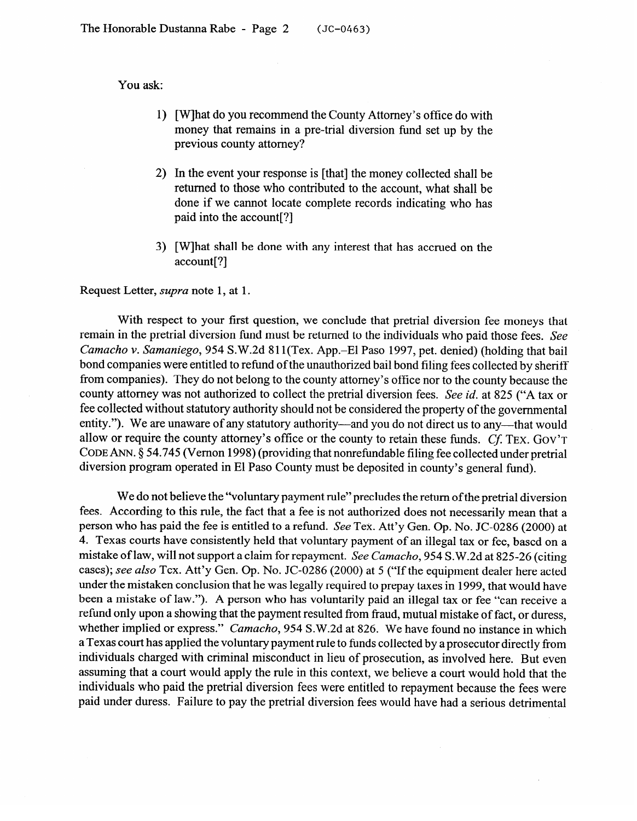You ask:

- 1) [W]hat do you recommend the County Attorney's office do with money that remains in a pre-trial diversion fund set up by the previous county attorney?
- 2) In the event your response is [that] the money collected shall be returned to those who contributed to the account, what shall be done if we cannot locate complete records indicating who has paid into the account[?]
- 3) [W]hat shall be done with any interest that has accrued on the account[?]

Request Letter, *supra* note 1, at 1.

With respect to your first question, we conclude that pretrial diversion fee moneys that remain in the pretrial diversion fund must be returned to the individuals who paid those fees. See Camacho v. Samaniego, 954 S.W.2d 811(Tex. App.–El Paso 1997, pet. denied) (holding that bail bond companies were entitled to refund of the unauthorized bail bond filing fees collected by sheriff from companies). They do not belong to the county attorney's office nor to the county because the county attorney was not authorized to collect the pretrial diversion fees. See id. at 825 ("A tax or fee collected without statutory authority should not be considered the property of the governmental entity."). We are unaware of any statutory authority—and you do not direct us to any—that would allow or require the county attorney's office or the county to retain these funds.  $Cf$ . TEX. GOV'T CODE ANN. § 54.745 (Vernon 1998) (providing that nonrefundable filing fee collected under pretrial diversion program operated in El Paso County must be deposited in county's general fund).  $\frac{1}{1}$  b  $\frac{1}{1}$  county must be deposited in El Paso County s general funds).

We do not believe the "voluntary payment rule" precludes the return of the pretrial diversion<br>fees. According to this rule, the fact that a fee is not authorized does not necessarily mean that a person who has paid the fee is entitled to a refund. See Tex. Att'y Gen. Op. No. JC-0286 (2000) at 4. Texas courts have consistently held that voluntary payment of an illegal tax or fee, based on a mistake of law, will not support a claim for repayment. See Camacho, 954 S.W.2d at 825-26 (citing cases); see also Tex. Att'y Gen. Op. No. JC-0286 (2000) at 5 ("If the equipment dealer here acted under the mistaken conclusion that he was legally required to prepay taxes in 1999, that would have been a mistake of law."). A person who has voluntarily paid an illegal tax or fee "can receive a refund only upon a showing that the payment resulted from fraud, mutual mistake of fact, or duress, whether implied or express." Camacho, 954 S.W.2d at 826. We have found no instance in which a Texas court has applied the voluntary payment rule to funds collected by a prosecutor directly from individuals charged with criminal misconduct in lieu of prosecution, as involved here. But even assuming that a court would apply the rule in this context, we believe a court would hold that the individuals who paid the pretrial diversion fees were entitled to repayment because the fees were paid under duress. Failure to pay the pretrial diversion fees would have had a serious detrimental

paid under duress. Failure to pay the pretrial diversion fees would have had a serious detrimental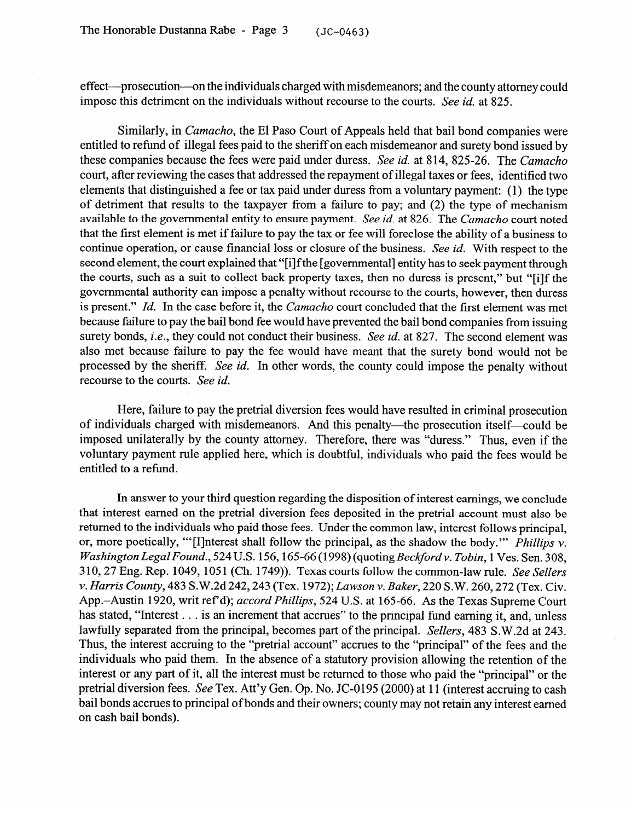effect-prosecution-on the individuals charged with misdemeanors; and the county attorney could impose this detriment on the individuals without recourse to the courts. See *id.* at 825.

Similarly, in *Camacho,* the El Paso Court of Appeals held that bail bond companies were entitled to refund of illegal fees paid to the sheriff on each misdemeanor and surety bond issued by these companies because the fees were paid under duress. See *id.* at 814, *825-26.* The *Camacho*  court, after reviewing the cases that addressed the repayment of illegal taxes or fees, identified two elements that distinguished a fee or tax paid under duress from a voluntary payment: (1) the type of detriment that results to the taxpayer from a failure to pay; and (2) the type of mechanism available to the governmental entity to ensure payment. *See id.* at *826.* The *Camacho* court noted that the first element is met if failure to pay the tax or fee will foreclose the ability of a business to continue operation, or cause financial loss or closure of the business. See *id.* With respect to the second element, the court explained that "[i]f the [governmental] entity has to seek payment through the courts, such as a suit to collect back property taxes, then no duress is present," but "[i]f the governmental authority can impose a penalty without recourse to the courts, however, then duress is present." Id. In the case before it, the *Camacho* court concluded that the first element was met because failure to pay the bail bond fee would have prevented the bail bond companies from issuing surety bonds, *i.e.*, they could not conduct their business. See id. at 827. The second element was also met because failure to pay the fee would have meant that the surety bond would not be also met because failure to pay the fee would have meant that the surety bond would not be processed by the sheriff. See *id.* In other words, the county could impose the penalty without recourse to the courts. See *id.* 

Here, failure to pay the pretrial diversion fees would have resulted in criminal prosecution of individuals charged with misdemeanors. And this penalty—the prosecution itself—could be imposed unitaterally by the county attorney. Therefore, there was "duress." Thus, even if the  $\mu$ imposed universally by the county attorney. Thus, which is doubtful individuals who maid the fees usual the  $\mu$  $\frac{1}{2}$  applied to a rational

In answer to your third question regarding the disposition of interest earnings, we conclude that interest earned on the pretrial diversion fees deposited in the pretrial account must also be returned to the individuals who paid those fees. Under the common law, interest follows principal, or, more poetically, "[I] nterest shall follow the principal, as the shadow the body." Phillips  $\nu$ . Washington Legal Found., 524 U.S. 156, 165-66 (1998) (quoting Beckford v. Tobin, 1 Ves. Sen. 308, 310, 27 Eng. Rep. 1049, 1051 (Ch. 1749)). Texas courts follow the common-law rule. See Sellers v. Harris County, 483 S.W.2d 242, 243 (Tex. 1972); Lawson v. Baker, 220 S.W. 260, 272 (Tex. Civ. App.-Austin 1920, writ ref'd); *accord Phillips*, 524 U.S. at 165-66. As the Texas Supreme Court has stated, "Interest . . . is an increment that accrues" to the principal fund earning it, and, unless lawfully separated from the principal, becomes part of the principal. Sellers, 483 S.W.2d at 243. Thus, the interest accruing to the "pretrial account" accrues to the "principal" of the fees and the individuals who paid them. In the absence of a statutory provision allowing the retention of the interest or any part of it, all the interest must be returned to those who paid the "principal" or the pretrial diversion fees. See Tex. Att'y Gen. Op. No. JC-0195 (2000) at 11 (interest accruing to cash bail bonds accrues to principal of bonds and their owners; county may not retain any interest earned on cash bail bonds).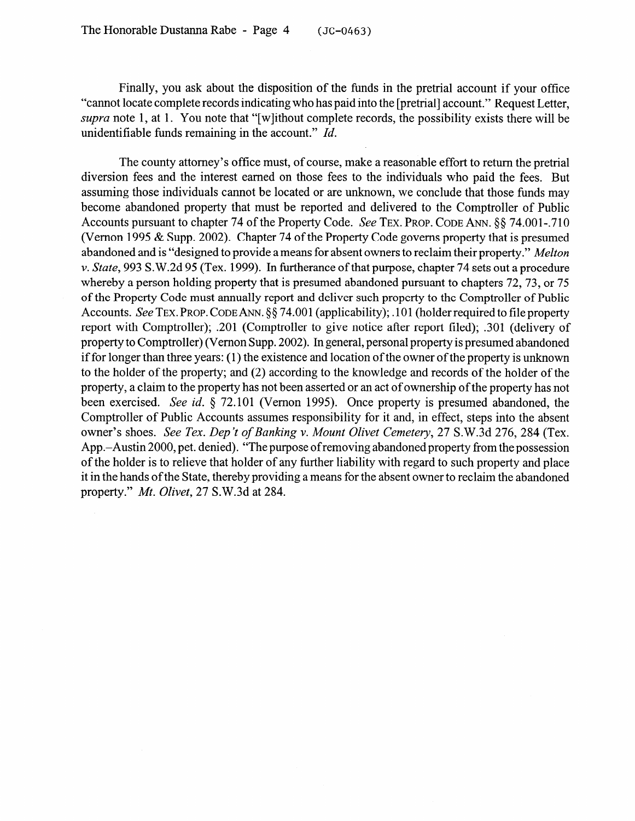Finally, you ask about the disposition of the funds in the pretrial account if your office "cannot locate complete records indicating who has paid into the [pretrial] account." Request Letter, *supra* note 1, at 1. You note that "[w]ithout complete records, the possibility exists there will be unidentifiable funds remaining in the account." *Id.* 

The county attorney's office must, of course, make a reasonable effort to return the pretrial diversion fees and the interest earned on those fees to the individuals who paid the fees. But assuming those individuals cannot be located or are unknown, we conclude that those funds may become abandoned property that must be reported and delivered to the Comptroller of Public Accounts pursuant to chapter 74 of the Property Code. See TEX. PROP. CODE ANN. §§ 74.001-.710 (Vernon 1995 & Supp. 2002). Chapter 74 of the Property Code governs property that is presumed abandoned and is "designed to provide a means for absent owners to reclaim their property." *Melton v. State,* 993 S.W.2d 95 (Tex. 1999). In furtherance of that purpose, chapter 74 sets out a procedure whereby a person holding property that is presumed abandoned pursuant to chapters 72,73, or 75 of the Property Code must annually report and deliver such property to the Comptroller of Public Accounts. See TEX. PROP. CODE ANN. §§ 74.001 (applicability); .101 (holder required to file property report with Comptroller); .201 (Comptroller to give notice after report filed); .301 (delivery of property to Comptroller) (Vernon Supp. 2002). In general, personal property is presumed abandoned if for longer than three years: (1) the existence and location of the owner of the property is unknown to the holder of the property; and (2) according to the knowledge and records of the holder of the property, a claim to the property has not been asserted or an act of ownership of the property has not been exercised. See *id.* 9 72.101 (Vernon 1995). Once property is presumed abandoned, the Comptroller of Public Accounts assumes responsibility for it and, in effect, steps into the absent owner's shoes. *See Tex. Dep 't of Banking v. Mount Olivet Cemetery, 27* S.W.3d 276, 284 (Tex. App.-Austin 2000, pet. denied). "The purpose of removing abandoned property from the possession of the holder is to relieve that holder of any further liability with regard to such property and place it in the hands of the State, thereby providing a means for the absent owner to reclaim the abandoned property." *Mt. Olivet, 27* S.W.3d at 284.